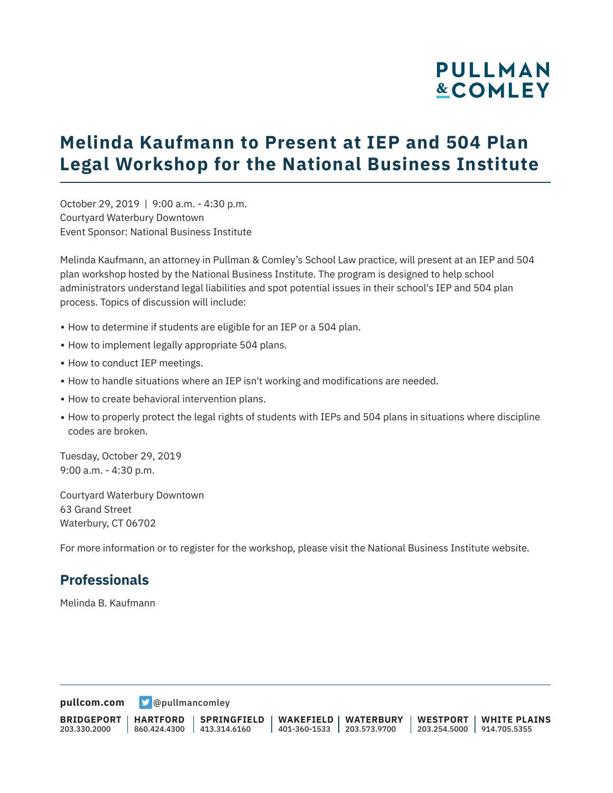# **PULLMAN &COMLEY**

## **Melinda Kaufmann to Present at IEP and 504 Plan Legal Workshop for the National Business Institute**

October 29, 2019 | 9:00 a.m. - 4:30 p.m. Courtyard Waterbury Downtown Event Sponsor: National Business Institute

Melinda Kaufmann, an attorney in Pullman & Comley's School Law practice, will present at an IEP and 504 plan workshop hosted by the National Business Institute. The program is designed to help school administrators understand legal liabilities and spot potential issues in their school's IEP and 504 plan process. Topics of discussion will include:

- How to determine if students are eligible for an IEP or a 504 plan.
- How to implement legally appropriate 504 plans.
- How to conduct IEP meetings.
- How to handle situations where an IEP isn't working and modifications are needed.
- How to create behavioral intervention plans.
- How to properly protect the legal rights of students with IEPs and 504 plans in situations where discipline codes are broken.

Tuesday, October 29, 2019 9:00 a.m. - 4:30 p.m.

Courtyard Waterbury Downtown 63 Grand Street Waterbury, CT 06702

For more information or to register for the workshop, please visit the National Business Institute website.

#### **Professionals**

Melinda B. Kaufmann

**[pullcom.com](https://www.pullcom.com)** [@pullmancomley](https://twitter.com/PullmanComley)

**BRIDGEPORT** 203.330.2000

**HARTFORD**

860.424.4300 413.314.6160 **SPRINGFIELD** **WAKEFIELD WATERBURY** 401-360-1533 203.573.9700

**WESTPORT WHITE PLAINS** 203.254.5000 914.705.5355